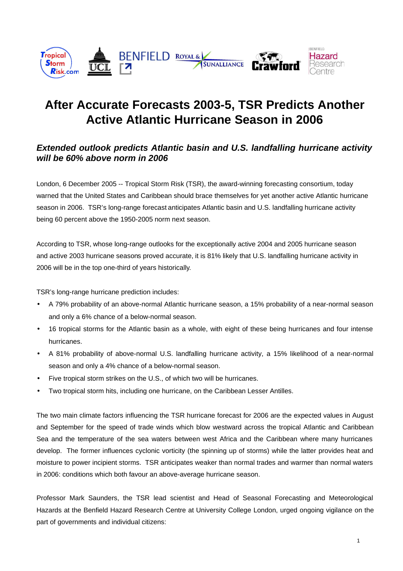

# **After Accurate Forecasts 2003-5, TSR Predicts Another Active Atlantic Hurricane Season in 2006**

# **Extended outlook predicts Atlantic basin and U.S. landfalling hurricane activity will be 60% above norm in 2006**

London, 6 December 2005 -- Tropical Storm Risk (TSR), the award-winning forecasting consortium, today warned that the United States and Caribbean should brace themselves for yet another active Atlantic hurricane season in 2006. TSR's long-range forecast anticipates Atlantic basin and U.S. landfalling hurricane activity being 60 percent above the 1950-2005 norm next season.

According to TSR, whose long-range outlooks for the exceptionally active 2004 and 2005 hurricane season and active 2003 hurricane seasons proved accurate, it is 81% likely that U.S. landfalling hurricane activity in 2006 will be in the top one-third of years historically.

TSR's long-range hurricane prediction includes:

- A 79% probability of an above-normal Atlantic hurricane season, a 15% probability of a near-normal season and only a 6% chance of a below-normal season.
- 16 tropical storms for the Atlantic basin as a whole, with eight of these being hurricanes and four intense hurricanes.
- A 81% probability of above-normal U.S. landfalling hurricane activity, a 15% likelihood of a near-normal season and only a 4% chance of a below-normal season.
- Five tropical storm strikes on the U.S., of which two will be hurricanes.
- Two tropical storm hits, including one hurricane, on the Caribbean Lesser Antilles.

The two main climate factors influencing the TSR hurricane forecast for 2006 are the expected values in August and September for the speed of trade winds which blow westward across the tropical Atlantic and Caribbean Sea and the temperature of the sea waters between west Africa and the Caribbean where many hurricanes develop. The former influences cyclonic vorticity (the spinning up of storms) while the latter provides heat and moisture to power incipient storms. TSR anticipates weaker than normal trades and warmer than normal waters in 2006: conditions which both favour an above-average hurricane season.

Professor Mark Saunders, the TSR lead scientist and Head of Seasonal Forecasting and Meteorological Hazards at the Benfield Hazard Research Centre at University College London, urged ongoing vigilance on the part of governments and individual citizens: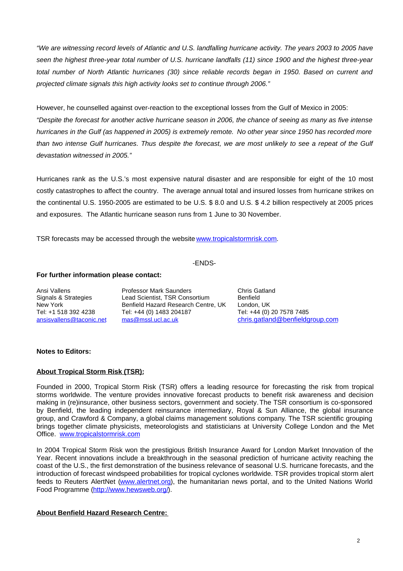"We are witnessing record levels of Atlantic and U.S. landfalling hurricane activity. The years 2003 to 2005 have seen the highest three-year total number of U.S. hurricane landfalls (11) since 1900 and the highest three-year total number of North Atlantic hurricanes (30) since reliable records began in 1950. Based on current and projected climate signals this high activity looks set to continue through 2006."

However, he counselled against over-reaction to the exceptional losses from the Gulf of Mexico in 2005: "Despite the forecast for another active hurricane season in 2006, the chance of seeing as many as five intense hurricanes in the Gulf (as happened in 2005) is extremely remote. No other year since 1950 has recorded more than two intense Gulf hurricanes. Thus despite the forecast, we are most unlikely to see a repeat of the Gulf devastation witnessed in 2005."

Hurricanes rank as the U.S.'s most expensive natural disaster and are responsible for eight of the 10 most costly catastrophes to affect the country. The average annual total and insured losses from hurricane strikes on the continental U.S. 1950-2005 are estimated to be U.S. \$ 8.0 and U.S. \$ 4.2 billion respectively at 2005 prices and exposures. The Atlantic hurricane season runs from 1 June to 30 November.

TSR forecasts may be accessed through the website www.tropicalstormrisk.com.

# -ENDS-

#### **For further information please contact:**

Ansi Vallens **Professor Mark Saunders** Chris Gatland<br>
Signals & Strategies Lead Scientist, TSR Consortium Benfield Lead Scientist, TSR Consortium New York Benfield Hazard Research Centre, UK London, UK Tel: +1 518 392 4238 Tel: +44 (0) 1483 204187 Tel: +44 (0) 20 7578 7485 ansisvallens@taconic.net mas@mssl.ucl.ac.uk chris.gatland@benfieldgroup.com

# **Notes to Editors:**

# **About Tropical Storm Risk (TSR):**

Founded in 2000, Tropical Storm Risk (TSR) offers a leading resource for forecasting the risk from tropical storms worldwide. The venture provides innovative forecast products to benefit risk awareness and decision making in (re)insurance, other business sectors, government and society.The TSR consortium is co-sponsored by Benfield, the leading independent reinsurance intermediary, Royal & Sun Alliance, the global insurance group, and Crawford & Company, a global claims management solutions company. The TSR scientific grouping brings together climate physicists, meteorologists and statisticians at University College London and the Met Office. www.tropicalstormrisk.com

In 2004 Tropical Storm Risk won the prestigious British Insurance Award for London Market Innovation of the Year. Recent innovations include a breakthrough in the seasonal prediction of hurricane activity reaching the coast of the U.S., the first demonstration of the business relevance of seasonal U.S. hurricane forecasts, and the introduction of forecast windspeed probabilities for tropical cyclones worldwide. TSR provides tropical storm alert feeds to Reuters AlertNet (www.alertnet.org), the humanitarian news portal, and to the United Nations World Food Programme (http://www.hewsweb.org/).

# **About Benfield Hazard Research Centre:**